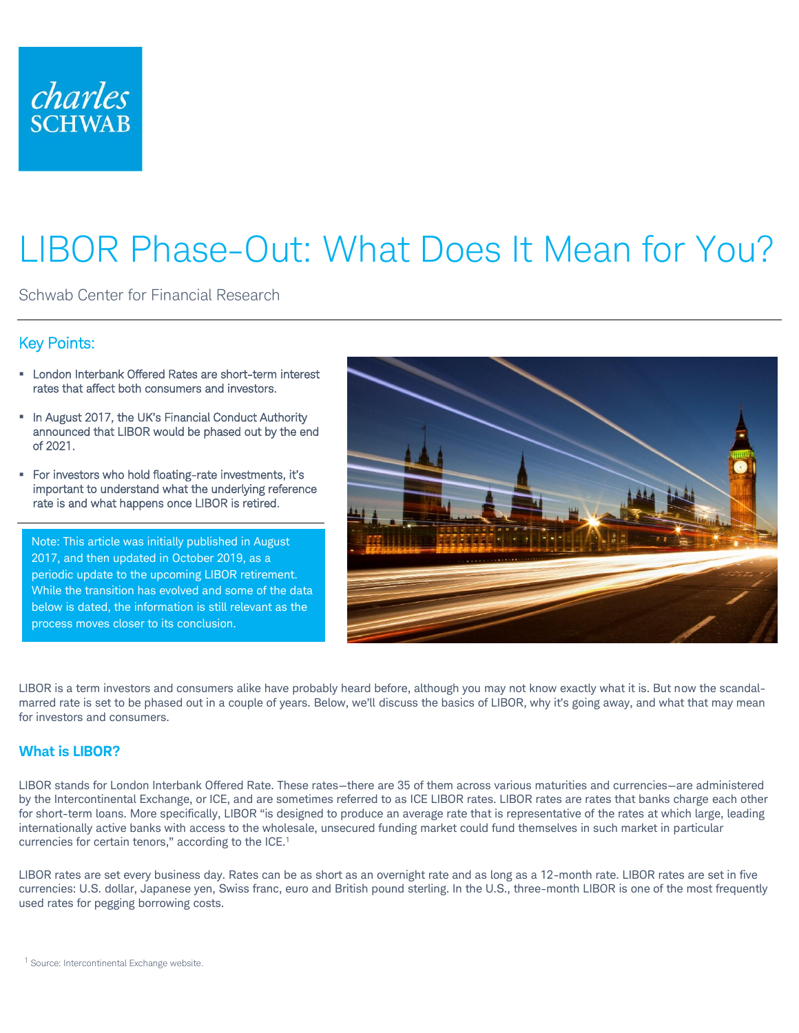

# LIBOR Phase-Out: What Does It Mean for You?

Schwab Center for Financial Research

# Key Points:

- **EXECT:** London Interbank Offered Rates are short-term interest rates that affect both consumers and investors.
- **.** In August 2017, the UK's Financial Conduct Authority announced that LIBOR would be phased out by the end of 2021.
- For investors who hold floating-rate investments, it's important to understand what the underlying reference rate is and what happens once LIBOR is retired.

Note: This article was initially published in August 2017, and then updated in October 2019, as a periodic update to the upcoming LIBOR retirement. While the transition has evolved and some of the data below is dated, the information is still relevant as the process moves closer to its conclusion.



LIBOR is a term investors and consumers alike have probably heard before, although you may not know exactly what it is. But now the scandalmarred rate is set to be phased out in a couple of years. Below, we'll discuss the basics of LIBOR, why it's going away, and what that may mean for investors and consumers.

## **What is LIBOR?**

LIBOR stands for London Interbank Offered Rate. These rates—there are 35 of them across various maturities and currencies—are administered by the Intercontinental Exchange, or ICE, and are sometimes referred to as ICE LIBOR rates. LIBOR rates are rates that banks charge each other for short-term loans. More specifically, LIBOR "is designed to produce an average rate that is representative of the rates at which large, leading internationally active banks with access to the wholesale, unsecured funding market could fund themselves in such market in particular currencies for certain tenors," according to the ICE.<sup>1</sup>

LIBOR rates are set every business day. Rates can be as short as an overnight rate and as long as a 12-month rate. LIBOR rates are set in five currencies: U.S. dollar, Japanese yen, Swiss franc, euro and British pound sterling. In the U.S., three-month LIBOR is one of the most frequently used rates for pegging borrowing costs.

 $1$  Source: Intercontinental Exchange website.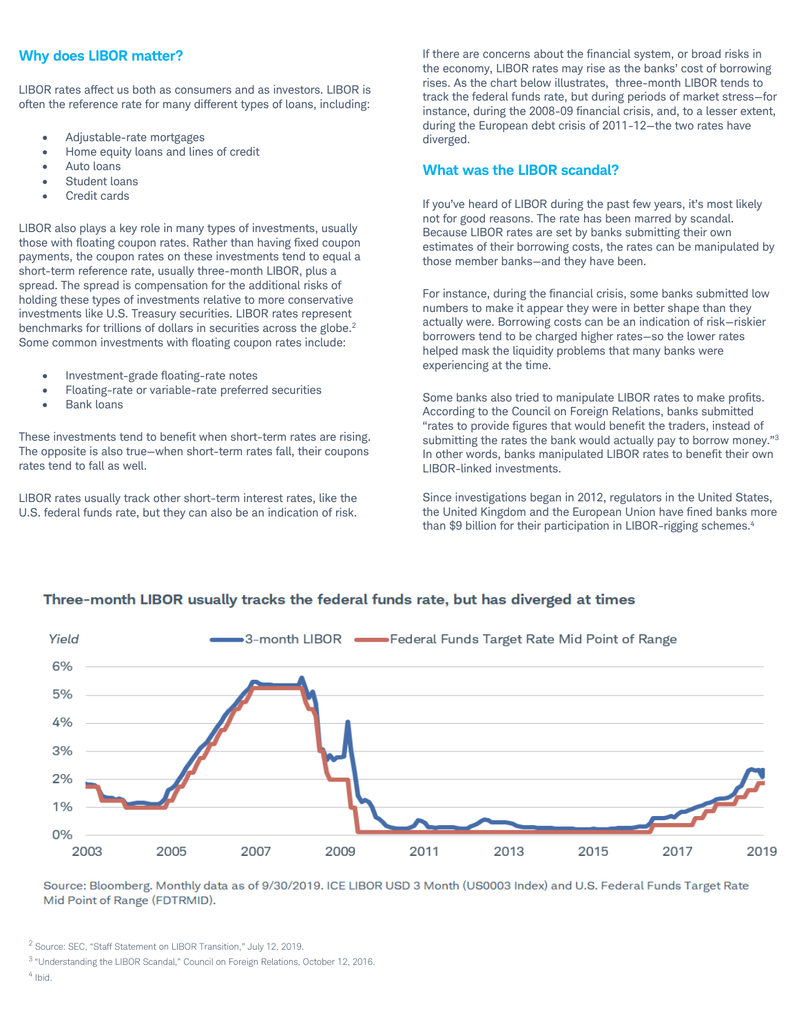## **Why does LIBOR matter?**

LIBOR rates affect us both as consumers and as investors. LIBOR is often the reference rate for many different types of loans, including:

- Adjustable-rate mortgages
- Home equity loans and lines of credit
- Auto loans
- Student loans
- Credit cards

LIBOR also plays a key role in many types of investments, usually those with floating coupon rates. Rather than having fixed coupon payments, the coupon rates on these investments tend to equal a short-term reference rate, usually three-month LIBOR, plus a spread. The spread is compensation for the additional risks of holding these types of investments relative to more conservative investments like U.S. Treasury securities. LIBOR rates represent benchmarks for trillions of dollars in securities across the globe.<sup>2</sup> Some common investments with floating coupon rates include:

- Investment-grade floating-rate notes
- Floating-rate or variable-rate preferred securities
- Bank loans

These investments tend to benefit when short-term rates are rising. The opposite is also true—when short-term rates fall, their coupons rates tend to fall as well.

LIBOR rates usually track other short-term interest rates, like the U.S. federal funds rate, but they can also be an indication of risk. If there are concerns about the financial system, or broad risks in the economy, LIBOR rates may rise as the banks' cost of borrowing rises. As the chart below illustrates, three-month LIBOR tends to track the federal funds rate, but during periods of market stress—for instance, during the 2008-09 financial crisis, and, to a lesser extent, during the European debt crisis of 2011-12—the two rates have diverged.

#### **What was the LIBOR scandal?**

If you've heard of LIBOR during the past few years, it's most likely not for good reasons. The rate has been marred by scandal. Because LIBOR rates are set by banks submitting their own estimates of their borrowing costs, the rates can be manipulated by those member banks—and they have been.

For instance, during the financial crisis, some banks submitted low numbers to make it appear they were in better shape than they actually were. Borrowing costs can be an indication of risk—riskier borrowers tend to be charged higher rates—so the lower rates helped mask the liquidity problems that many banks were experiencing at the time.

Some banks also tried to manipulate LIBOR rates to make profits. According to the Council on Foreign Relations, banks submitted "rates to provide figures that would benefit the traders, instead of submitting the rates the bank would actually pay to borrow money."<sup>3</sup> In other words, banks manipulated LIBOR rates to benefit their own LIBOR-linked investments.

Since investigations began in 2012, regulators in the United States, the United Kingdom and the European Union have fined banks more than \$9 billion for their participation in LIBOR-rigging schemes.<sup>4</sup>



# Three-month LIBOR usually tracks the federal funds rate, but has diverged at times

Source: Bloomberg. Monthly data as of 9/30/2019. ICE LIBOR USD 3 Month (US0003 Index) and U.S. Federal Funds Target Rate Mid Point of Range (FDTRMID).

<sup>3</sup>"Understanding the LIBOR Scandal," Council on Foreign Relations, October 12, 2016.

<sup>4</sup> Ibid.

<sup>2</sup> Source: SEC, "Staff Statement on LIBOR Transition," July 12, 2019.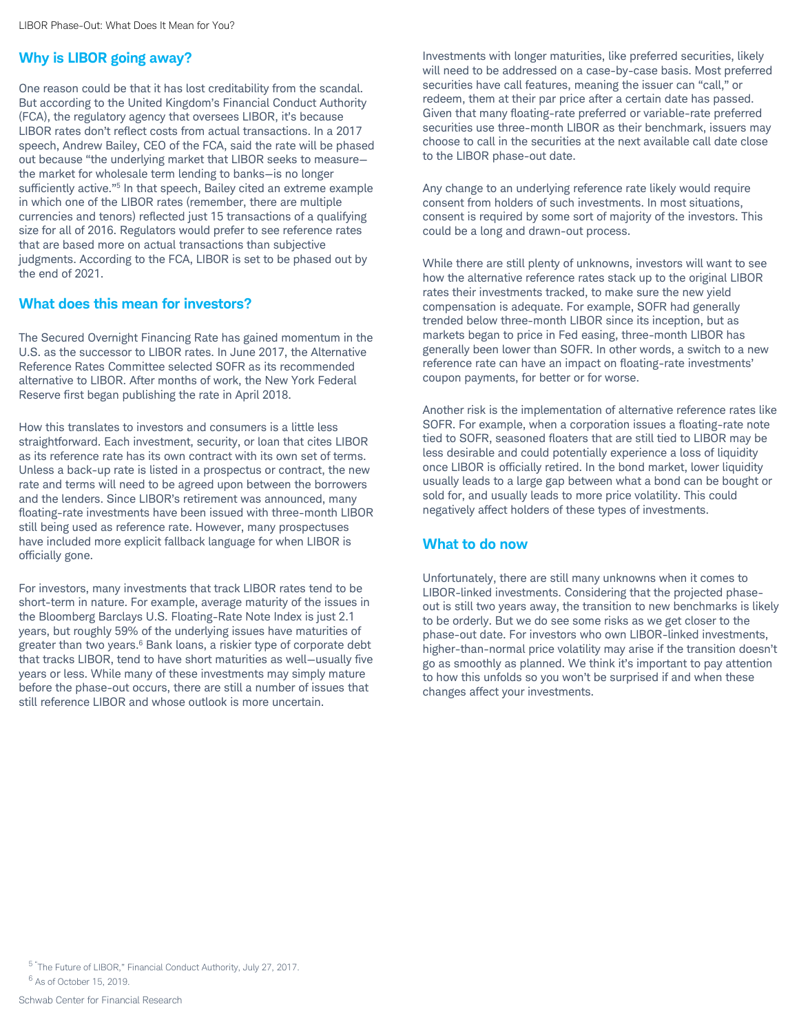# **Why is LIBOR going away?**

One reason could be that it has lost creditability from the scandal. But according to the United Kingdom's Financial Conduct Authority (FCA), the regulatory agency that oversees LIBOR, it's because LIBOR rates don't reflect costs from actual transactions. In a 2017 speech, Andrew Bailey, CEO of the FCA, said the rate will be phased out because "the underlying market that LIBOR seeks to measure the market for wholesale term lending to banks—is no longer sufficiently active."<sup>5</sup> In that speech, Bailey cited an extreme example in which one of the LIBOR rates (remember, there are multiple currencies and tenors) reflected just 15 transactions of a qualifying size for all of 2016. Regulators would prefer to see reference rates that are based more on actual transactions than subjective judgments. According to the FCA, LIBOR is set to be phased out by the end of 2021.

## **What does this mean for investors?**

The Secured Overnight Financing Rate has gained momentum in the U.S. as the successor to LIBOR rates. In June 2017, the Alternative Reference Rates Committee selected SOFR as its recommended alternative to LIBOR. After months of work, the New York Federal Reserve first began publishing the rate in April 2018.

How this translates to investors and consumers is a little less straightforward. Each investment, security, or loan that cites LIBOR as its reference rate has its own contract with its own set of terms. Unless a back-up rate is listed in a prospectus or contract, the new rate and terms will need to be agreed upon between the borrowers and the lenders. Since LIBOR's retirement was announced, many floating-rate investments have been issued with three-month LIBOR still being used as reference rate. However, many prospectuses have included more explicit fallback language for when LIBOR is officially gone.

For investors, many investments that track LIBOR rates tend to be short-term in nature. For example, average maturity of the issues in the Bloomberg Barclays U.S. Floating-Rate Note Index is just 2.1 years, but roughly 59% of the underlying issues have maturities of greater than two years.<sup>6</sup> Bank loans, a riskier type of corporate debt that tracks LIBOR, tend to have short maturities as well—usually five years or less. While many of these investments may simply mature before the phase-out occurs, there are still a number of issues that still reference LIBOR and whose outlook is more uncertain.

Investments with longer maturities, like preferred securities, likely will need to be addressed on a case-by-case basis. Most preferred securities have call features, meaning the issuer can "call," or redeem, them at their par price after a certain date has passed. Given that many floating-rate preferred or variable-rate preferred securities use three-month LIBOR as their benchmark, issuers may choose to call in the securities at the next available call date close to the LIBOR phase-out date.

Any change to an underlying reference rate likely would require consent from holders of such investments. In most situations, consent is required by some sort of majority of the investors. This could be a long and drawn-out process.

While there are still plenty of unknowns, investors will want to see how the alternative reference rates stack up to the original LIBOR rates their investments tracked, to make sure the new yield compensation is adequate. For example, SOFR had generally trended below three-month LIBOR since its inception, but as markets began to price in Fed easing, three-month LIBOR has generally been lower than SOFR. In other words, a switch to a new reference rate can have an impact on floating-rate investments' coupon payments, for better or for worse.

Another risk is the implementation of alternative reference rates like SOFR. For example, when a corporation issues a floating-rate note tied to SOFR, seasoned floaters that are still tied to LIBOR may be less desirable and could potentially experience a loss of liquidity once LIBOR is officially retired. In the bond market, lower liquidity usually leads to a large gap between what a bond can be bought or sold for, and usually leads to more price volatility. This could negatively affect holders of these types of investments.

## **What to do now**

Unfortunately, there are still many unknowns when it comes to LIBOR-linked investments. Considering that the projected phaseout is still two years away, the transition to new benchmarks is likely to be orderly. But we do see some risks as we get closer to the phase-out date. For investors who own LIBOR-linked investments, higher-than-normal price volatility may arise if the transition doesn't go as smoothly as planned. We think it's important to pay attention to how this unfolds so you won't be surprised if and when these changes affect your investments.

<sup>6</sup> As of October 15, 2019.

<sup>5 &</sup>quot;The Future of LIBOR," Financial Conduct Authority, July 27, 2017.